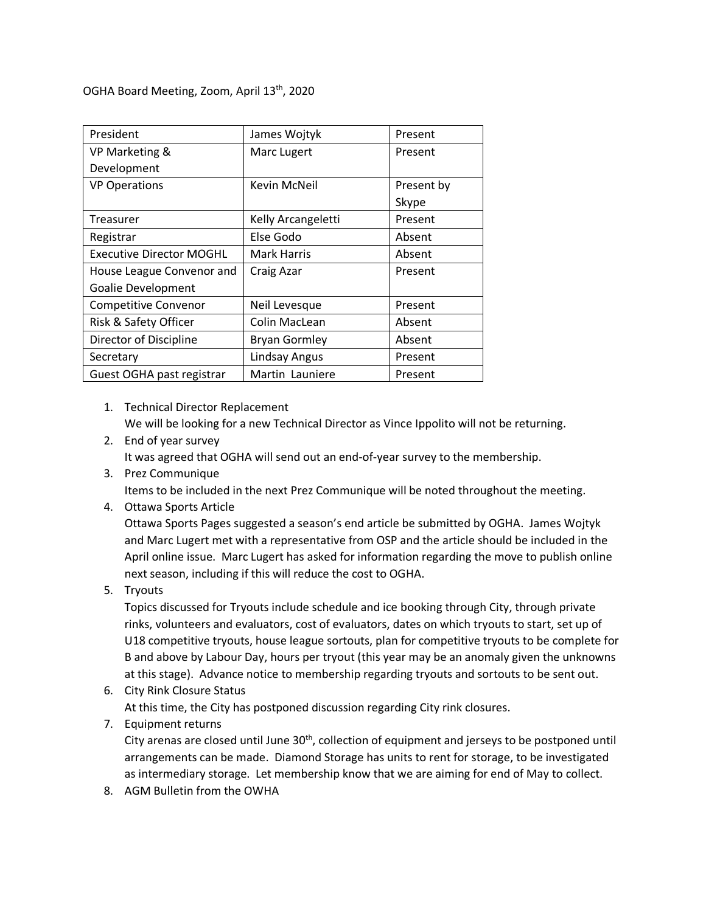OGHA Board Meeting, Zoom, April 13th, 2020

| President                       | James Wojtyk         | Present    |
|---------------------------------|----------------------|------------|
| VP Marketing &                  | Marc Lugert          | Present    |
| Development                     |                      |            |
| <b>VP Operations</b>            | Kevin McNeil         | Present by |
|                                 |                      | Skype      |
| Treasurer                       | Kelly Arcangeletti   | Present    |
| Registrar                       | Else Godo            | Absent     |
| <b>Executive Director MOGHL</b> | <b>Mark Harris</b>   | Absent     |
| House League Convenor and       | Craig Azar           | Present    |
| <b>Goalie Development</b>       |                      |            |
| <b>Competitive Convenor</b>     | Neil Levesque        | Present    |
| Risk & Safety Officer           | Colin MacLean        | Absent     |
| Director of Discipline          | <b>Bryan Gormley</b> | Absent     |
| Secretary                       | Lindsay Angus        | Present    |
| Guest OGHA past registrar       | Martin Launiere      | Present    |

1. Technical Director Replacement We will be looking for a new Technical Director as Vince Ippolito will not be returning.

- 2. End of year survey It was agreed that OGHA will send out an end-of-year survey to the membership.
- 3. Prez Communique Items to be included in the next Prez Communique will be noted throughout the meeting.
- 4. Ottawa Sports Article

Ottawa Sports Pages suggested a season's end article be submitted by OGHA. James Wojtyk and Marc Lugert met with a representative from OSP and the article should be included in the April online issue. Marc Lugert has asked for information regarding the move to publish online next season, including if this will reduce the cost to OGHA.

5. Tryouts

Topics discussed for Tryouts include schedule and ice booking through City, through private rinks, volunteers and evaluators, cost of evaluators, dates on which tryouts to start, set up of U18 competitive tryouts, house league sortouts, plan for competitive tryouts to be complete for B and above by Labour Day, hours per tryout (this year may be an anomaly given the unknowns at this stage). Advance notice to membership regarding tryouts and sortouts to be sent out.

- 6. City Rink Closure Status At this time, the City has postponed discussion regarding City rink closures.
- 7. Equipment returns

City arenas are closed until June 30<sup>th</sup>, collection of equipment and jerseys to be postponed until arrangements can be made. Diamond Storage has units to rent for storage, to be investigated as intermediary storage. Let membership know that we are aiming for end of May to collect.

8. AGM Bulletin from the OWHA